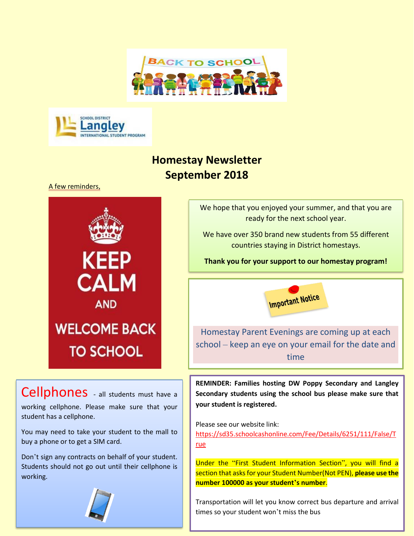



## **Homestay Newsletter September 2018**

A few reminders,



Cellphones - all students must have a working cellphone. Please make sure that your student has a cellphone.

You may need to take your student to the mall to buy a phone or to get a SIM card.

Don't sign any contracts on behalf of your student. Students should not go out until their cellphone is working.



We hope that you enjoyed your summer, and that you are ready for the next school year.

We have over 350 brand new students from 55 different countries staying in District homestays.

**Thank you for your support to our homestay program!**



Homestay Parent Evenings are coming up at each school – keep an eye on your email for the date and time

**REMINDER: Families hosting DW Poppy Secondary and Langley Secondary students using the school bus please make sure that your student is registered.**

Please see our website link:

[https://sd35.schoolcashonline.com/Fee/Details/6251/111/False/T](https://na01.safelinks.protection.outlook.com/?url=https%3A%2F%2Fsd35.schoolcashonline.com%2FFee%2FDetails%2F6251%2F111%2FFalse%2FTrue&data=02%7C01%7CVSanchezErickson%40sd35.bc.ca%7C4286648d49844198c82508d60eaf523c%7Cfcabfaaef80a4f74b6a7ba15c2a4bb24%7C0%7C0%7C636712543492942621&sdata=lhhKgwj5NMK%2FvoQsaez4C5CTmvqf7258tM5vgE6HJEo%3D&reserved=0) [rue](https://na01.safelinks.protection.outlook.com/?url=https%3A%2F%2Fsd35.schoolcashonline.com%2FFee%2FDetails%2F6251%2F111%2FFalse%2FTrue&data=02%7C01%7CVSanchezErickson%40sd35.bc.ca%7C4286648d49844198c82508d60eaf523c%7Cfcabfaaef80a4f74b6a7ba15c2a4bb24%7C0%7C0%7C636712543492942621&sdata=lhhKgwj5NMK%2FvoQsaez4C5CTmvqf7258tM5vgE6HJEo%3D&reserved=0)

Under the "First Student Information Section", you will find a section that asks for your Student Number(Not PEN), **please use the number 100000 as your student's number**.

Transportation will let you know correct bus departure and arrival times so your student won't miss the bus